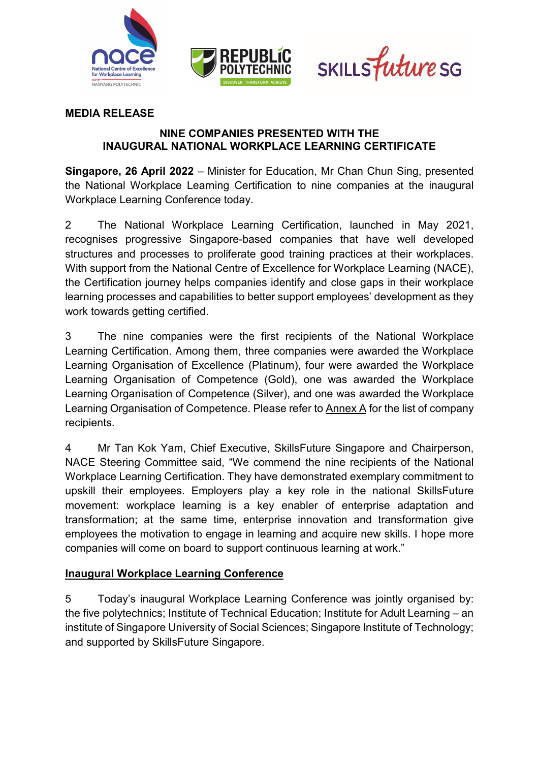





### **MEDIA RELEASE**

#### **NINE COMPANIES PRESENTED WITH THE INAUGURAL NATIONAL WORKPLACE LEARNING CERTIFICATE**

**Singapore, 26 April 2022** – Minister for Education, Mr Chan Chun Sing, presented the National Workplace Learning Certification to nine companies at the inaugural Workplace Learning Conference today.

2 The National Workplace Learning Certification, launched in May 2021, recognises progressive Singapore-based companies that have well developed structures and processes to proliferate good training practices at their workplaces. With support from the National Centre of Excellence for Workplace Learning (NACE), the Certification journey helps companies identify and close gaps in their workplace learning processes and capabilities to better support employees' development as they work towards getting certified.

3 The nine companies were the first recipients of the National Workplace Learning Certification. Among them, three companies were awarded the Workplace Learning Organisation of Excellence (Platinum), four were awarded the Workplace Learning Organisation of Competence (Gold), one was awarded the Workplace Learning Organisation of Competence (Silver), and one was awarded the Workplace Learning Organisation of Competence. Please refer to Annex A for the list of company recipients.

4 Mr Tan Kok Yam, Chief Executive, SkillsFuture Singapore and Chairperson, NACE Steering Committee said, "We commend the nine recipients of the National Workplace Learning Certification. They have demonstrated exemplary commitment to upskill their employees. Employers play a key role in the national SkillsFuture movement: workplace learning is a key enabler of enterprise adaptation and transformation; at the same time, enterprise innovation and transformation give employees the motivation to engage in learning and acquire new skills. I hope more companies will come on board to support continuous learning at work."

#### **Inaugural Workplace Learning Conference**

5 Today's inaugural Workplace Learning Conference was jointly organised by: the five polytechnics; Institute of Technical Education; Institute for Adult Learning – an institute of Singapore University of Social Sciences; Singapore Institute of Technology; and supported by SkillsFuture Singapore.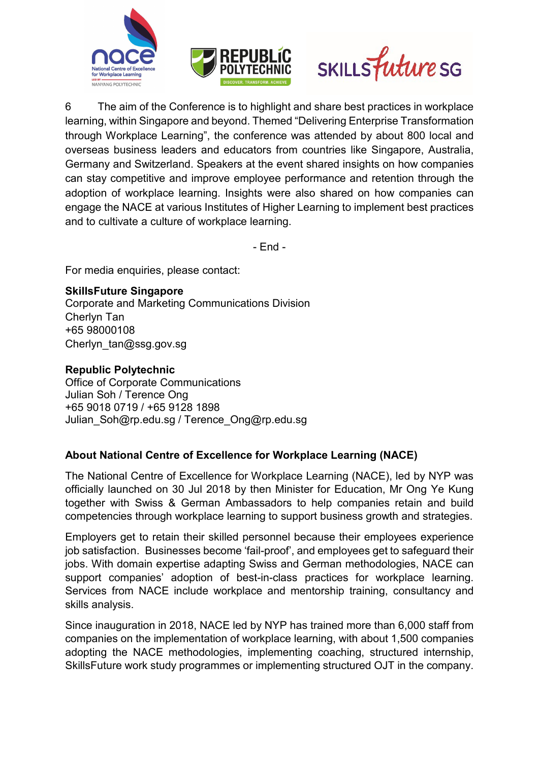





6 The aim of the Conference is to highlight and share best practices in workplace learning, within Singapore and beyond. Themed "Delivering Enterprise Transformation through Workplace Learning", the conference was attended by about 800 local and overseas business leaders and educators from countries like Singapore, Australia, Germany and Switzerland. Speakers at the event shared insights on how companies can stay competitive and improve employee performance and retention through the adoption of workplace learning. Insights were also shared on how companies can engage the NACE at various Institutes of Higher Learning to implement best practices and to cultivate a culture of workplace learning.

- End -

For media enquiries, please contact:

# **SkillsFuture Singapore**

Corporate and Marketing Communications Division Cherlyn Tan +65 98000108 Cherlyn\_tan@ssg.gov.sg

# **Republic Polytechnic**

Office of Corporate Communications Julian Soh / Terence Ong +65 9018 0719 / +65 9128 1898 [Julian\\_Soh@rp.edu.sg](mailto:Julian_Soh@rp.edu.sg) / [Terence\\_Ong@rp.edu.sg](mailto:Terence_Ong@rp.edu.sg)

# **About National Centre of Excellence for Workplace Learning (NACE)**

The National Centre of Excellence for Workplace Learning (NACE), led by NYP was officially launched on 30 Jul 2018 by then Minister for Education, Mr Ong Ye Kung together with Swiss & German Ambassadors to help companies retain and build competencies through workplace learning to support business growth and strategies.

Employers get to retain their skilled personnel because their employees experience job satisfaction. Businesses become 'fail-proof', and employees get to safeguard their jobs. With domain expertise adapting Swiss and German methodologies, NACE can support companies' adoption of best-in-class practices for workplace learning. Services from NACE include workplace and mentorship training, consultancy and skills analysis.

Since inauguration in 2018, NACE led by NYP has trained more than 6,000 staff from companies on the implementation of workplace learning, with about 1,500 companies adopting the NACE methodologies, implementing coaching, structured internship, SkillsFuture work study programmes or implementing structured OJT in the company.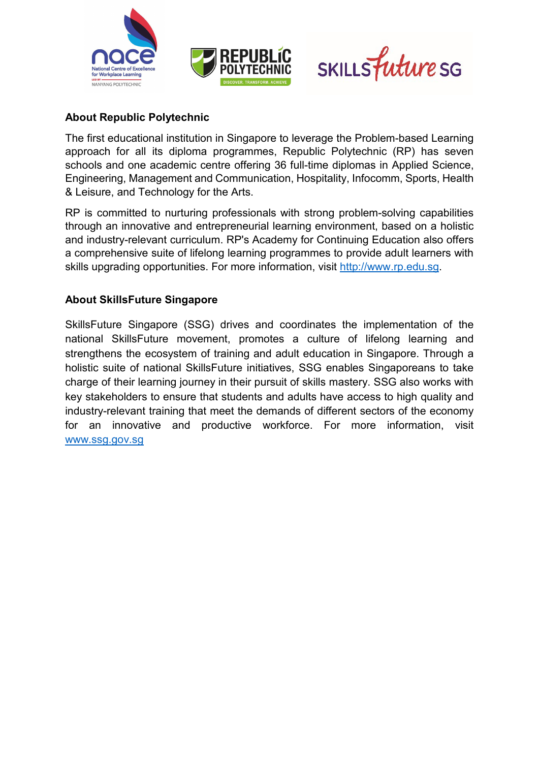





# **About Republic Polytechnic**

The first educational institution in Singapore to leverage the Problem-based Learning approach for all its diploma programmes, Republic Polytechnic (RP) has seven schools and one academic centre offering 36 full-time diplomas in Applied Science, Engineering, Management and Communication, Hospitality, Infocomm, Sports, Health & Leisure, and Technology for the Arts.

RP is committed to nurturing professionals with strong problem-solving capabilities through an innovative and entrepreneurial learning environment, based on a holistic and industry-relevant curriculum. RP's Academy for Continuing Education also offers a comprehensive suite of lifelong learning programmes to provide adult learners with skills upgrading opportunities. For more information, visit [http://www.rp.edu.sg.](http://www.rp.edu.sg/)

# **About SkillsFuture Singapore**

SkillsFuture Singapore (SSG) drives and coordinates the implementation of the national SkillsFuture movement, promotes a culture of lifelong learning and strengthens the ecosystem of training and adult education in Singapore. Through a holistic suite of national SkillsFuture initiatives, SSG enables Singaporeans to take charge of their learning journey in their pursuit of skills mastery. SSG also works with key stakeholders to ensure that students and adults have access to high quality and industry-relevant training that meet the demands of different sectors of the economy for an innovative and productive workforce. For more information, visit [www.ssg.gov.sg](http://www.ssg.gov.sg/)